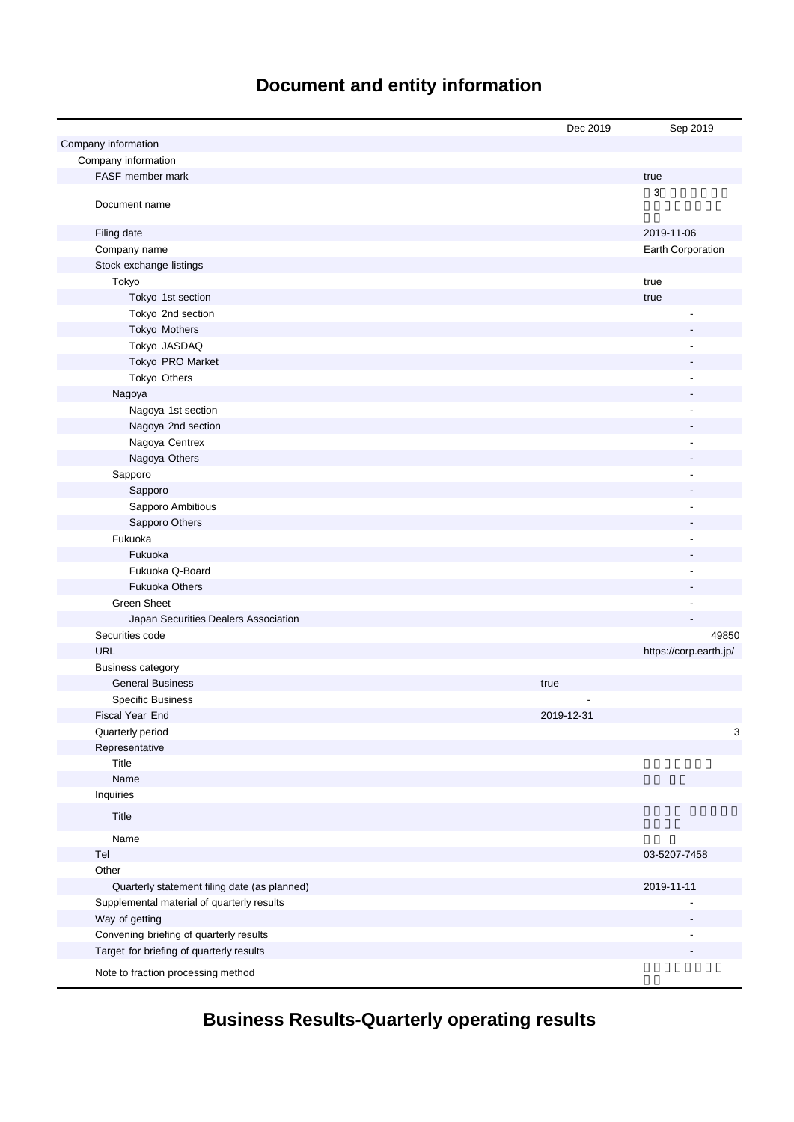# **Document and entity information**

|                                              | Dec 2019   | Sep 2019               |
|----------------------------------------------|------------|------------------------|
| Company information                          |            |                        |
| Company information                          |            |                        |
| FASF member mark                             |            | true                   |
| Document name                                |            | 3                      |
| Filing date                                  |            | 2019-11-06             |
| Company name                                 |            | Earth Corporation      |
| Stock exchange listings                      |            |                        |
| Tokyo                                        |            | true                   |
| Tokyo 1st section                            |            | true                   |
| Tokyo 2nd section                            |            |                        |
| Tokyo Mothers                                |            |                        |
| Tokyo JASDAQ                                 |            | ÷,                     |
| Tokyo PRO Market                             |            |                        |
| Tokyo Others                                 |            |                        |
| Nagoya                                       |            |                        |
| Nagoya 1st section                           |            |                        |
| Nagoya 2nd section                           |            |                        |
| Nagoya Centrex                               |            |                        |
| Nagoya Others                                |            |                        |
| Sapporo                                      |            |                        |
| Sapporo                                      |            |                        |
| Sapporo Ambitious                            |            |                        |
| Sapporo Others                               |            |                        |
| Fukuoka                                      |            |                        |
| Fukuoka                                      |            |                        |
| Fukuoka Q-Board                              |            |                        |
| <b>Fukuoka Others</b>                        |            |                        |
| <b>Green Sheet</b>                           |            |                        |
| Japan Securities Dealers Association         |            |                        |
| Securities code                              |            | 49850                  |
| <b>URL</b>                                   |            | https://corp.earth.jp/ |
| <b>Business category</b>                     |            |                        |
| <b>General Business</b>                      | true       |                        |
| <b>Specific Business</b>                     |            |                        |
| Fiscal Year End                              | 2019-12-31 |                        |
| Quarterly period                             |            | 3                      |
| Representative                               |            |                        |
| Title                                        |            |                        |
| Name                                         |            |                        |
| Inquiries                                    |            |                        |
| Title                                        |            |                        |
| Name                                         |            |                        |
| Tel                                          |            | 03-5207-7458           |
| Other                                        |            |                        |
| Quarterly statement filing date (as planned) |            | 2019-11-11             |
| Supplemental material of quarterly results   |            |                        |
| Way of getting                               |            | $\overline{a}$         |
| Convening briefing of quarterly results      |            |                        |
| Target for briefing of quarterly results     |            |                        |
| Note to fraction processing method           |            |                        |

**Business Results-Quarterly operating results**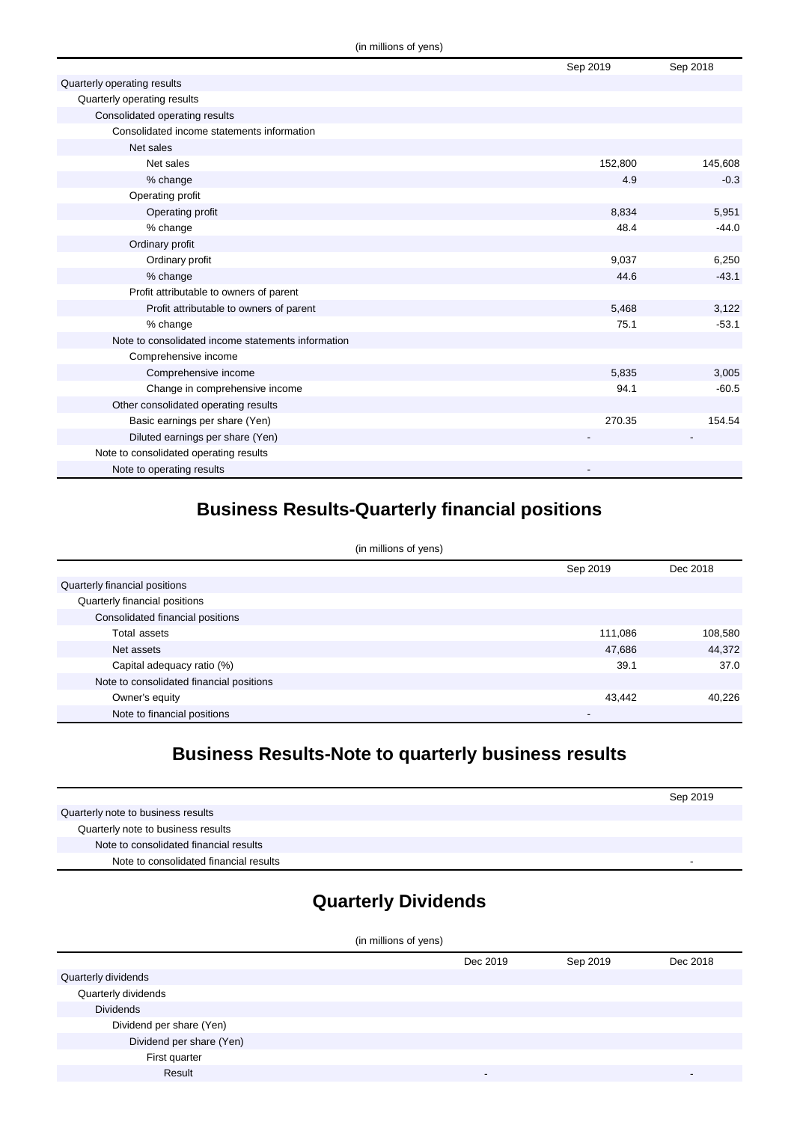|                                                    | Sep 2019 | Sep 2018 |
|----------------------------------------------------|----------|----------|
| Quarterly operating results                        |          |          |
| Quarterly operating results                        |          |          |
| Consolidated operating results                     |          |          |
| Consolidated income statements information         |          |          |
| Net sales                                          |          |          |
| Net sales                                          | 152,800  | 145,608  |
| % change                                           | 4.9      | $-0.3$   |
| Operating profit                                   |          |          |
| Operating profit                                   | 8,834    | 5,951    |
| % change                                           | 48.4     | $-44.0$  |
| Ordinary profit                                    |          |          |
| Ordinary profit                                    | 9,037    | 6,250    |
| % change                                           | 44.6     | $-43.1$  |
| Profit attributable to owners of parent            |          |          |
| Profit attributable to owners of parent            | 5,468    | 3,122    |
| % change                                           | 75.1     | $-53.1$  |
| Note to consolidated income statements information |          |          |
| Comprehensive income                               |          |          |
| Comprehensive income                               | 5,835    | 3,005    |
| Change in comprehensive income                     | 94.1     | $-60.5$  |
| Other consolidated operating results               |          |          |
| Basic earnings per share (Yen)                     | 270.35   | 154.54   |
| Diluted earnings per share (Yen)                   |          |          |
| Note to consolidated operating results             |          |          |
| Note to operating results                          |          |          |

### **Business Results-Quarterly financial positions**

| (in millions of yens)                    |          |          |  |
|------------------------------------------|----------|----------|--|
|                                          | Sep 2019 | Dec 2018 |  |
| Quarterly financial positions            |          |          |  |
| Quarterly financial positions            |          |          |  |
| Consolidated financial positions         |          |          |  |
| Total assets                             | 111,086  | 108,580  |  |
| Net assets                               | 47,686   | 44,372   |  |
| Capital adequacy ratio (%)               | 39.1     | 37.0     |  |
| Note to consolidated financial positions |          |          |  |
| Owner's equity                           | 43,442   | 40,226   |  |
| Note to financial positions              |          |          |  |

### **Business Results-Note to quarterly business results**

|                                        | Sep 2019 |
|----------------------------------------|----------|
| Quarterly note to business results     |          |
| Quarterly note to business results     |          |
| Note to consolidated financial results |          |
| Note to consolidated financial results | -        |

## **Quarterly Dividends**

| (in millions of yens)    |                          |          |                          |
|--------------------------|--------------------------|----------|--------------------------|
|                          | Dec 2019                 | Sep 2019 | Dec 2018                 |
| Quarterly dividends      |                          |          |                          |
| Quarterly dividends      |                          |          |                          |
| <b>Dividends</b>         |                          |          |                          |
| Dividend per share (Yen) |                          |          |                          |
| Dividend per share (Yen) |                          |          |                          |
| First quarter            |                          |          |                          |
| Result                   | $\overline{\phantom{a}}$ |          | $\overline{\phantom{a}}$ |
|                          |                          |          |                          |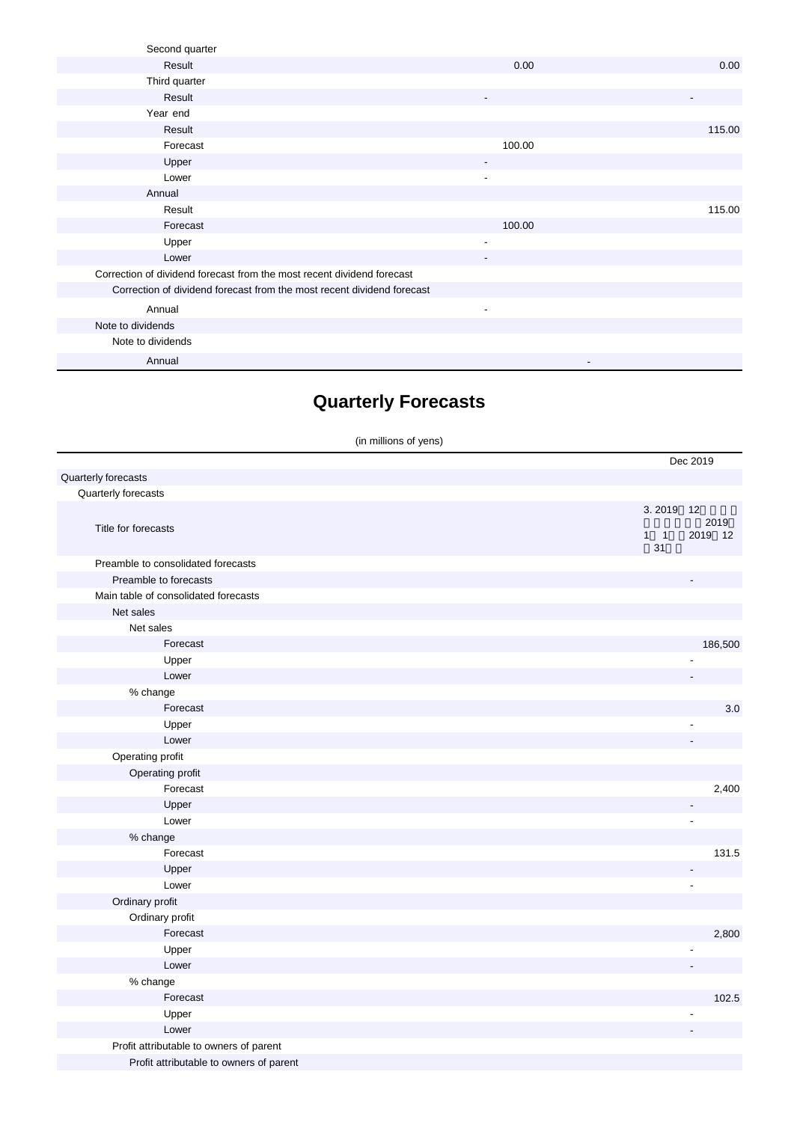| Second quarter                                                         |                          |        |
|------------------------------------------------------------------------|--------------------------|--------|
| Result                                                                 | 0.00                     | 0.00   |
| Third quarter                                                          |                          |        |
| Result                                                                 | ٠                        |        |
| Year end                                                               |                          |        |
| Result                                                                 |                          | 115.00 |
| Forecast                                                               | 100.00                   |        |
| Upper                                                                  |                          |        |
| Lower                                                                  | ٠                        |        |
| Annual                                                                 |                          |        |
| Result                                                                 |                          | 115.00 |
| Forecast                                                               | 100.00                   |        |
| Upper                                                                  | $\overline{\phantom{a}}$ |        |
| Lower                                                                  | $\overline{\phantom{a}}$ |        |
| Correction of dividend forecast from the most recent dividend forecast |                          |        |
| Correction of dividend forecast from the most recent dividend forecast |                          |        |
| Annual                                                                 | $\overline{\phantom{a}}$ |        |
| Note to dividends                                                      |                          |        |
| Note to dividends                                                      |                          |        |
| Annual                                                                 | ٠                        |        |

## **Quarterly Forecasts**

(in millions of yens)

|                                         | Dec 2019                                             |
|-----------------------------------------|------------------------------------------------------|
| Quarterly forecasts                     |                                                      |
| Quarterly forecasts                     |                                                      |
| Title for forecasts                     | 3.2019<br>12<br>2019<br>$1 \quad 1$<br>2019 12<br>31 |
| Preamble to consolidated forecasts      |                                                      |
| Preamble to forecasts                   |                                                      |
| Main table of consolidated forecasts    |                                                      |
| Net sales                               |                                                      |
| Net sales                               |                                                      |
| Forecast                                | 186,500                                              |
| Upper                                   |                                                      |
| Lower                                   |                                                      |
| % change                                |                                                      |
| Forecast                                | 3.0                                                  |
| Upper                                   |                                                      |
| Lower                                   |                                                      |
| Operating profit                        |                                                      |
| Operating profit                        |                                                      |
| Forecast                                | 2,400                                                |
| Upper                                   |                                                      |
| Lower                                   |                                                      |
| % change                                |                                                      |
| Forecast                                | 131.5                                                |
| Upper                                   | $\overline{a}$                                       |
| Lower                                   | $\blacksquare$                                       |
| Ordinary profit                         |                                                      |
| Ordinary profit                         |                                                      |
| Forecast                                | 2,800                                                |
| Upper                                   |                                                      |
| Lower                                   |                                                      |
| % change                                |                                                      |
| Forecast                                | 102.5                                                |
| Upper                                   |                                                      |
| Lower                                   |                                                      |
| Profit attributable to owners of parent |                                                      |
| Profit attributable to owners of parent |                                                      |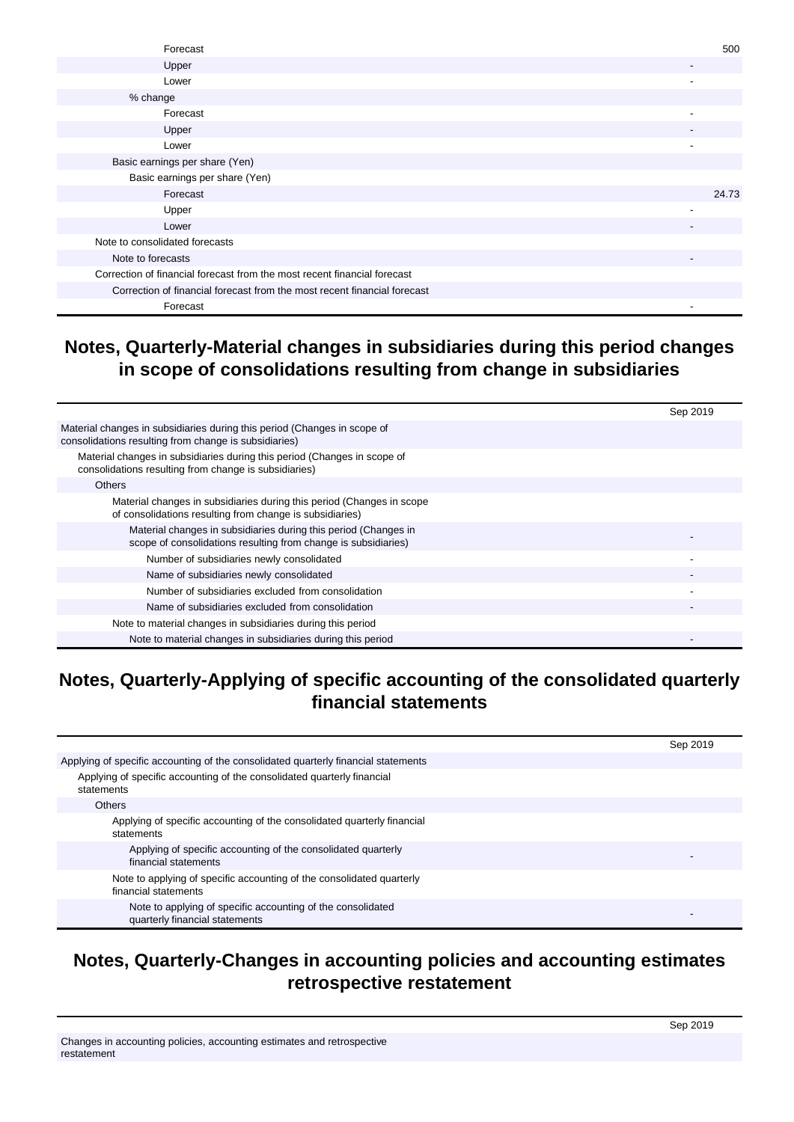| Forecast                                                                 | 500                      |
|--------------------------------------------------------------------------|--------------------------|
| Upper                                                                    | $\overline{\phantom{a}}$ |
| Lower                                                                    | $\overline{\phantom{a}}$ |
| % change                                                                 |                          |
| Forecast                                                                 |                          |
| Upper                                                                    |                          |
| Lower                                                                    |                          |
| Basic earnings per share (Yen)                                           |                          |
| Basic earnings per share (Yen)                                           |                          |
| Forecast                                                                 | 24.73                    |
| Upper                                                                    |                          |
| Lower                                                                    | $\overline{\phantom{a}}$ |
| Note to consolidated forecasts                                           |                          |
| Note to forecasts                                                        | $\overline{\phantom{a}}$ |
| Correction of financial forecast from the most recent financial forecast |                          |
| Correction of financial forecast from the most recent financial forecast |                          |
| Forecast                                                                 |                          |

#### **Notes, Quarterly-Material changes in subsidiaries during this period changes in scope of consolidations resulting from change in subsidiaries**

|                                                                                                                                   | Sep 2019 |
|-----------------------------------------------------------------------------------------------------------------------------------|----------|
| Material changes in subsidiaries during this period (Changes in scope of<br>consolidations resulting from change is subsidiaries) |          |
| Material changes in subsidiaries during this period (Changes in scope of<br>consolidations resulting from change is subsidiaries) |          |
| <b>Others</b>                                                                                                                     |          |
| Material changes in subsidiaries during this period (Changes in scope<br>of consolidations resulting from change is subsidiaries) |          |
| Material changes in subsidiaries during this period (Changes in<br>scope of consolidations resulting from change is subsidiaries) |          |
| Number of subsidiaries newly consolidated                                                                                         |          |
| Name of subsidiaries newly consolidated                                                                                           |          |
| Number of subsidiaries excluded from consolidation                                                                                |          |
| Name of subsidiaries excluded from consolidation                                                                                  |          |
| Note to material changes in subsidiaries during this period                                                                       |          |
| Note to material changes in subsidiaries during this period                                                                       |          |

### **Notes, Quarterly-Applying of specific accounting of the consolidated quarterly financial statements**

|                                                                                               | Sep 2019 |
|-----------------------------------------------------------------------------------------------|----------|
| Applying of specific accounting of the consolidated quarterly financial statements            |          |
| Applying of specific accounting of the consolidated quarterly financial<br>statements         |          |
| <b>Others</b>                                                                                 |          |
| Applying of specific accounting of the consolidated quarterly financial<br>statements         |          |
| Applying of specific accounting of the consolidated quarterly<br>financial statements         |          |
| Note to applying of specific accounting of the consolidated quarterly<br>financial statements |          |
| Note to applying of specific accounting of the consolidated<br>quarterly financial statements |          |

#### **Notes, Quarterly-Changes in accounting policies and accounting estimates retrospective restatement**